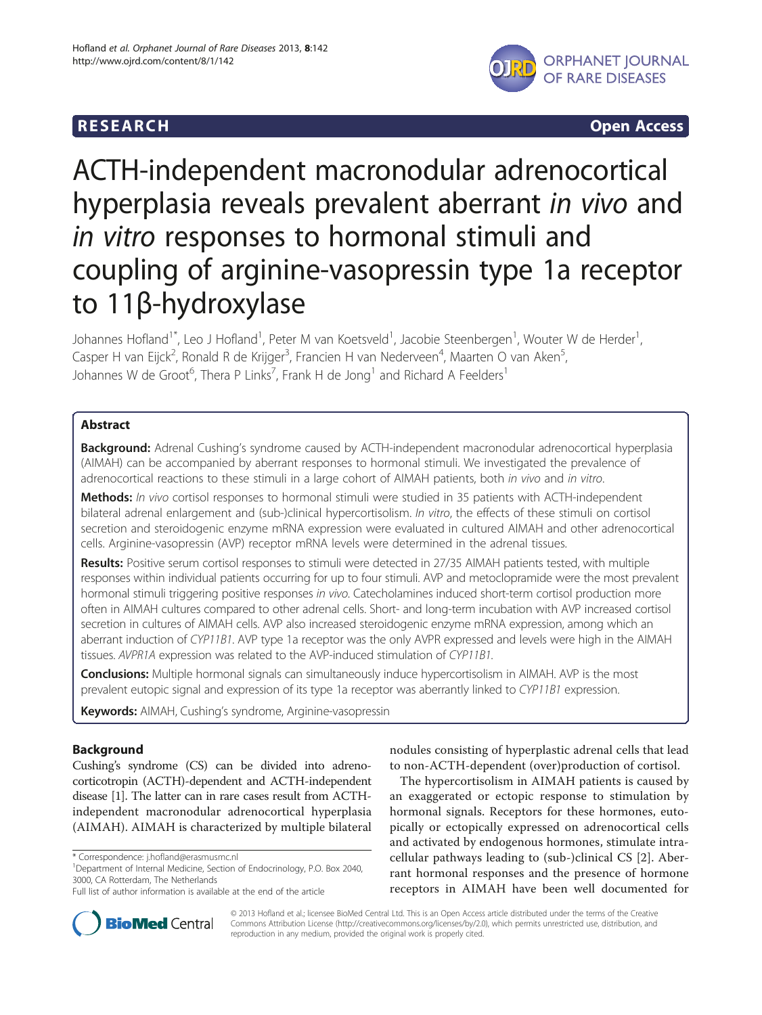

**RESEARCH CHILIDE CONSUMING A CONSUMING A CONSUMING A CONSUMING A CONSUMING A CONSUMING A CONSUMING A CONSUMING** 

# ACTH-independent macronodular adrenocortical hyperplasia reveals prevalent aberrant in vivo and in vitro responses to hormonal stimuli and coupling of arginine-vasopressin type 1a receptor to 11β-hydroxylase

Johannes Hofland<sup>1\*</sup>, Leo J Hofland<sup>1</sup>, Peter M van Koetsveld<sup>1</sup>, Jacobie Steenbergen<sup>1</sup>, Wouter W de Herder<sup>1</sup> , Casper H van Eijck<sup>2</sup>, Ronald R de Krijger<sup>3</sup>, Francien H van Nederveen<sup>4</sup>, Maarten O van Aken<sup>5</sup> , Johannes W de Groot<sup>6</sup>, Thera P Links<sup>7</sup>, Frank H de Jong<sup>1</sup> and Richard A Feelders<sup>1</sup>

# Abstract

**Background:** Adrenal Cushing's syndrome caused by ACTH-independent macronodular adrenocortical hyperplasia (AIMAH) can be accompanied by aberrant responses to hormonal stimuli. We investigated the prevalence of adrenocortical reactions to these stimuli in a large cohort of AIMAH patients, both in vivo and in vitro.

Methods: In vivo cortisol responses to hormonal stimuli were studied in 35 patients with ACTH-independent bilateral adrenal enlargement and (sub-)clinical hypercortisolism. In vitro, the effects of these stimuli on cortisol secretion and steroidogenic enzyme mRNA expression were evaluated in cultured AIMAH and other adrenocortical cells. Arginine-vasopressin (AVP) receptor mRNA levels were determined in the adrenal tissues.

Results: Positive serum cortisol responses to stimuli were detected in 27/35 AIMAH patients tested, with multiple responses within individual patients occurring for up to four stimuli. AVP and metoclopramide were the most prevalent hormonal stimuli triggering positive responses in vivo. Catecholamines induced short-term cortisol production more often in AIMAH cultures compared to other adrenal cells. Short- and long-term incubation with AVP increased cortisol secretion in cultures of AIMAH cells. AVP also increased steroidogenic enzyme mRNA expression, among which an aberrant induction of CYP11B1. AVP type 1a receptor was the only AVPR expressed and levels were high in the AIMAH tissues. AVPR1A expression was related to the AVP-induced stimulation of CYP11B1.

**Conclusions:** Multiple hormonal signals can simultaneously induce hypercortisolism in AIMAH. AVP is the most prevalent eutopic signal and expression of its type 1a receptor was aberrantly linked to CYP11B1 expression.

Keywords: AIMAH, Cushing's syndrome, Arginine-vasopressin

# Background

Cushing's syndrome (CS) can be divided into adrenocorticotropin (ACTH)-dependent and ACTH-independent disease [\[1\]](#page-10-0). The latter can in rare cases result from ACTHindependent macronodular adrenocortical hyperplasia (AIMAH). AIMAH is characterized by multiple bilateral

Department of Internal Medicine, Section of Endocrinology, P.O. Box 2040, 3000, CA Rotterdam, The Netherlands

nodules consisting of hyperplastic adrenal cells that lead to non-ACTH-dependent (over)production of cortisol.

The hypercortisolism in AIMAH patients is caused by an exaggerated or ectopic response to stimulation by hormonal signals. Receptors for these hormones, eutopically or ectopically expressed on adrenocortical cells and activated by endogenous hormones, stimulate intracellular pathways leading to (sub-)clinical CS [[2\]](#page-10-0). Aberrant hormonal responses and the presence of hormone receptors in AIMAH have been well documented for



© 2013 Hofland et al.; licensee BioMed Central Ltd. This is an Open Access article distributed under the terms of the Creative Commons Attribution License [\(http://creativecommons.org/licenses/by/2.0\)](http://creativecommons.org/licenses/by/2.0), which permits unrestricted use, distribution, and reproduction in any medium, provided the original work is properly cited.

<sup>\*</sup> Correspondence: [j.hofland@erasmusmc.nl](mailto:j.hofland@erasmusmc.nl) <sup>1</sup>

Full list of author information is available at the end of the article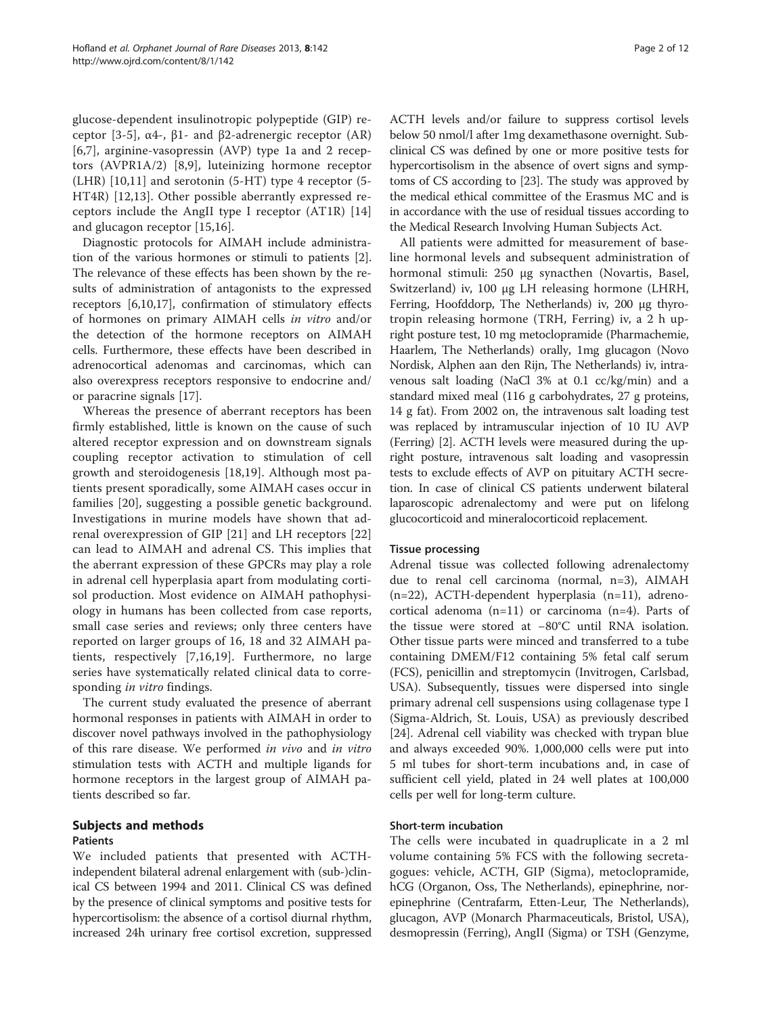glucose-dependent insulinotropic polypeptide (GIP) receptor [\[3](#page-10-0)-[5](#page-10-0)], α4-, β1- and β2-adrenergic receptor (AR) [[6,7](#page-10-0)], arginine-vasopressin (AVP) type 1a and 2 receptors (AVPR1A/2) [\[8](#page-10-0),[9\]](#page-10-0), luteinizing hormone receptor (LHR) [[10,11](#page-10-0)] and serotonin (5-HT) type 4 receptor (5- HT4R) [\[12,13\]](#page-10-0). Other possible aberrantly expressed receptors include the AngII type I receptor (AT1R) [\[14](#page-10-0)] and glucagon receptor [[15,16\]](#page-10-0).

Diagnostic protocols for AIMAH include administration of the various hormones or stimuli to patients [\[2](#page-10-0)]. The relevance of these effects has been shown by the results of administration of antagonists to the expressed receptors [[6,10,17\]](#page-10-0), confirmation of stimulatory effects of hormones on primary AIMAH cells in vitro and/or the detection of the hormone receptors on AIMAH cells. Furthermore, these effects have been described in adrenocortical adenomas and carcinomas, which can also overexpress receptors responsive to endocrine and/ or paracrine signals [[17\]](#page-10-0).

Whereas the presence of aberrant receptors has been firmly established, little is known on the cause of such altered receptor expression and on downstream signals coupling receptor activation to stimulation of cell growth and steroidogenesis [[18,19](#page-10-0)]. Although most patients present sporadically, some AIMAH cases occur in families [\[20\]](#page-10-0), suggesting a possible genetic background. Investigations in murine models have shown that adrenal overexpression of GIP [[21\]](#page-10-0) and LH receptors [\[22](#page-10-0)] can lead to AIMAH and adrenal CS. This implies that the aberrant expression of these GPCRs may play a role in adrenal cell hyperplasia apart from modulating cortisol production. Most evidence on AIMAH pathophysiology in humans has been collected from case reports, small case series and reviews; only three centers have reported on larger groups of 16, 18 and 32 AIMAH patients, respectively [\[7](#page-10-0),[16,19\]](#page-10-0). Furthermore, no large series have systematically related clinical data to corresponding in vitro findings.

The current study evaluated the presence of aberrant hormonal responses in patients with AIMAH in order to discover novel pathways involved in the pathophysiology of this rare disease. We performed in vivo and in vitro stimulation tests with ACTH and multiple ligands for hormone receptors in the largest group of AIMAH patients described so far.

# Subjects and methods

# Patients

We included patients that presented with ACTHindependent bilateral adrenal enlargement with (sub-)clinical CS between 1994 and 2011. Clinical CS was defined by the presence of clinical symptoms and positive tests for hypercortisolism: the absence of a cortisol diurnal rhythm, increased 24h urinary free cortisol excretion, suppressed ACTH levels and/or failure to suppress cortisol levels below 50 nmol/l after 1mg dexamethasone overnight. Subclinical CS was defined by one or more positive tests for hypercortisolism in the absence of overt signs and symptoms of CS according to [[23](#page-10-0)]. The study was approved by the medical ethical committee of the Erasmus MC and is in accordance with the use of residual tissues according to the Medical Research Involving Human Subjects Act.

All patients were admitted for measurement of baseline hormonal levels and subsequent administration of hormonal stimuli: 250 μg synacthen (Novartis, Basel, Switzerland) iv, 100 μg LH releasing hormone (LHRH, Ferring, Hoofddorp, The Netherlands) iv, 200 μg thyrotropin releasing hormone (TRH, Ferring) iv, a 2 h upright posture test, 10 mg metoclopramide (Pharmachemie, Haarlem, The Netherlands) orally, 1mg glucagon (Novo Nordisk, Alphen aan den Rijn, The Netherlands) iv, intravenous salt loading (NaCl 3% at 0.1 cc/kg/min) and a standard mixed meal (116 g carbohydrates, 27 g proteins, 14 g fat). From 2002 on, the intravenous salt loading test was replaced by intramuscular injection of 10 IU AVP (Ferring) [\[2\]](#page-10-0). ACTH levels were measured during the upright posture, intravenous salt loading and vasopressin tests to exclude effects of AVP on pituitary ACTH secretion. In case of clinical CS patients underwent bilateral laparoscopic adrenalectomy and were put on lifelong glucocorticoid and mineralocorticoid replacement.

# Tissue processing

Adrenal tissue was collected following adrenalectomy due to renal cell carcinoma (normal, n=3), AIMAH (n=22), ACTH-dependent hyperplasia (n=11), adrenocortical adenoma (n=11) or carcinoma (n=4). Parts of the tissue were stored at −80°C until RNA isolation. Other tissue parts were minced and transferred to a tube containing DMEM/F12 containing 5% fetal calf serum (FCS), penicillin and streptomycin (Invitrogen, Carlsbad, USA). Subsequently, tissues were dispersed into single primary adrenal cell suspensions using collagenase type I (Sigma-Aldrich, St. Louis, USA) as previously described [[24\]](#page-10-0). Adrenal cell viability was checked with trypan blue and always exceeded 90%. 1,000,000 cells were put into 5 ml tubes for short-term incubations and, in case of sufficient cell yield, plated in 24 well plates at 100,000 cells per well for long-term culture.

# Short-term incubation

The cells were incubated in quadruplicate in a 2 ml volume containing 5% FCS with the following secretagogues: vehicle, ACTH, GIP (Sigma), metoclopramide, hCG (Organon, Oss, The Netherlands), epinephrine, norepinephrine (Centrafarm, Etten-Leur, The Netherlands), glucagon, AVP (Monarch Pharmaceuticals, Bristol, USA), desmopressin (Ferring), AngII (Sigma) or TSH (Genzyme,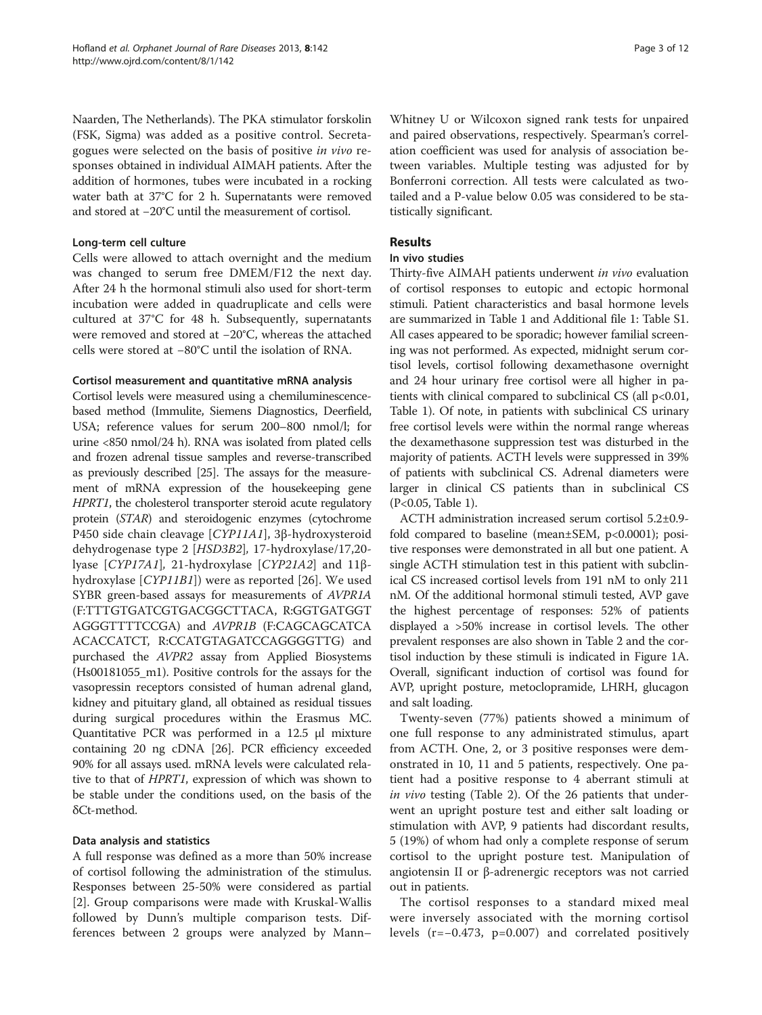Naarden, The Netherlands). The PKA stimulator forskolin (FSK, Sigma) was added as a positive control. Secretagogues were selected on the basis of positive in vivo responses obtained in individual AIMAH patients. After the addition of hormones, tubes were incubated in a rocking water bath at 37°C for 2 h. Supernatants were removed and stored at −20°C until the measurement of cortisol.

# Long-term cell culture

Cells were allowed to attach overnight and the medium was changed to serum free DMEM/F12 the next day. After 24 h the hormonal stimuli also used for short-term incubation were added in quadruplicate and cells were cultured at 37°C for 48 h. Subsequently, supernatants were removed and stored at −20°C, whereas the attached cells were stored at −80°C until the isolation of RNA.

# Cortisol measurement and quantitative mRNA analysis

Cortisol levels were measured using a chemiluminescencebased method (Immulite, Siemens Diagnostics, Deerfield, USA; reference values for serum 200–800 nmol/l; for urine <850 nmol/24 h). RNA was isolated from plated cells and frozen adrenal tissue samples and reverse-transcribed as previously described [[25](#page-10-0)]. The assays for the measurement of mRNA expression of the housekeeping gene HPRT1, the cholesterol transporter steroid acute regulatory protein (STAR) and steroidogenic enzymes (cytochrome P450 side chain cleavage [CYP11A1], 3β-hydroxysteroid dehydrogenase type 2 [HSD3B2], 17-hydroxylase/17,20 lyase [CYP17A1], 21-hydroxylase [CYP21A2] and 11βhydroxylase [CYP11B1]) were as reported [[26](#page-10-0)]. We used SYBR green-based assays for measurements of AVPR1A (F:TTTGTGATCGTGACGGCTTACA, R:GGTGATGGT AGGGTTTTCCGA) and AVPR1B (F:CAGCAGCATCA ACACCATCT, R:CCATGTAGATCCAGGGGTTG) and purchased the AVPR2 assay from Applied Biosystems (Hs00181055\_m1). Positive controls for the assays for the vasopressin receptors consisted of human adrenal gland, kidney and pituitary gland, all obtained as residual tissues during surgical procedures within the Erasmus MC. Quantitative PCR was performed in a 12.5 μl mixture containing 20 ng cDNA [\[26\]](#page-10-0). PCR efficiency exceeded 90% for all assays used. mRNA levels were calculated relative to that of HPRT1, expression of which was shown to be stable under the conditions used, on the basis of the δCt-method.

# Data analysis and statistics

A full response was defined as a more than 50% increase of cortisol following the administration of the stimulus. Responses between 25-50% were considered as partial [[2\]](#page-10-0). Group comparisons were made with Kruskal-Wallis followed by Dunn's multiple comparison tests. Differences between 2 groups were analyzed by Mann–

Whitney U or Wilcoxon signed rank tests for unpaired and paired observations, respectively. Spearman's correlation coefficient was used for analysis of association between variables. Multiple testing was adjusted for by Bonferroni correction. All tests were calculated as twotailed and a P-value below 0.05 was considered to be statistically significant.

# Results

# In vivo studies

Thirty-five AIMAH patients underwent in vivo evaluation of cortisol responses to eutopic and ectopic hormonal stimuli. Patient characteristics and basal hormone levels are summarized in Table [1](#page-3-0) and Additional file [1](#page-9-0): Table S1. All cases appeared to be sporadic; however familial screening was not performed. As expected, midnight serum cortisol levels, cortisol following dexamethasone overnight and 24 hour urinary free cortisol were all higher in patients with clinical compared to subclinical CS (all  $p<0.01$ , Table [1\)](#page-3-0). Of note, in patients with subclinical CS urinary free cortisol levels were within the normal range whereas the dexamethasone suppression test was disturbed in the majority of patients. ACTH levels were suppressed in 39% of patients with subclinical CS. Adrenal diameters were larger in clinical CS patients than in subclinical CS (P<0.05, Table [1](#page-3-0)).

ACTH administration increased serum cortisol 5.2±0.9 fold compared to baseline (mean±SEM, p<0.0001); positive responses were demonstrated in all but one patient. A single ACTH stimulation test in this patient with subclinical CS increased cortisol levels from 191 nM to only 211 nM. Of the additional hormonal stimuli tested, AVP gave the highest percentage of responses: 52% of patients displayed a >50% increase in cortisol levels. The other prevalent responses are also shown in Table [2](#page-4-0) and the cortisol induction by these stimuli is indicated in Figure [1A](#page-6-0). Overall, significant induction of cortisol was found for AVP, upright posture, metoclopramide, LHRH, glucagon and salt loading.

Twenty-seven (77%) patients showed a minimum of one full response to any administrated stimulus, apart from ACTH. One, 2, or 3 positive responses were demonstrated in 10, 11 and 5 patients, respectively. One patient had a positive response to 4 aberrant stimuli at in vivo testing (Table [2\)](#page-4-0). Of the 26 patients that underwent an upright posture test and either salt loading or stimulation with AVP, 9 patients had discordant results, 5 (19%) of whom had only a complete response of serum cortisol to the upright posture test. Manipulation of angiotensin II or β-adrenergic receptors was not carried out in patients.

The cortisol responses to a standard mixed meal were inversely associated with the morning cortisol levels (r=−0.473, p=0.007) and correlated positively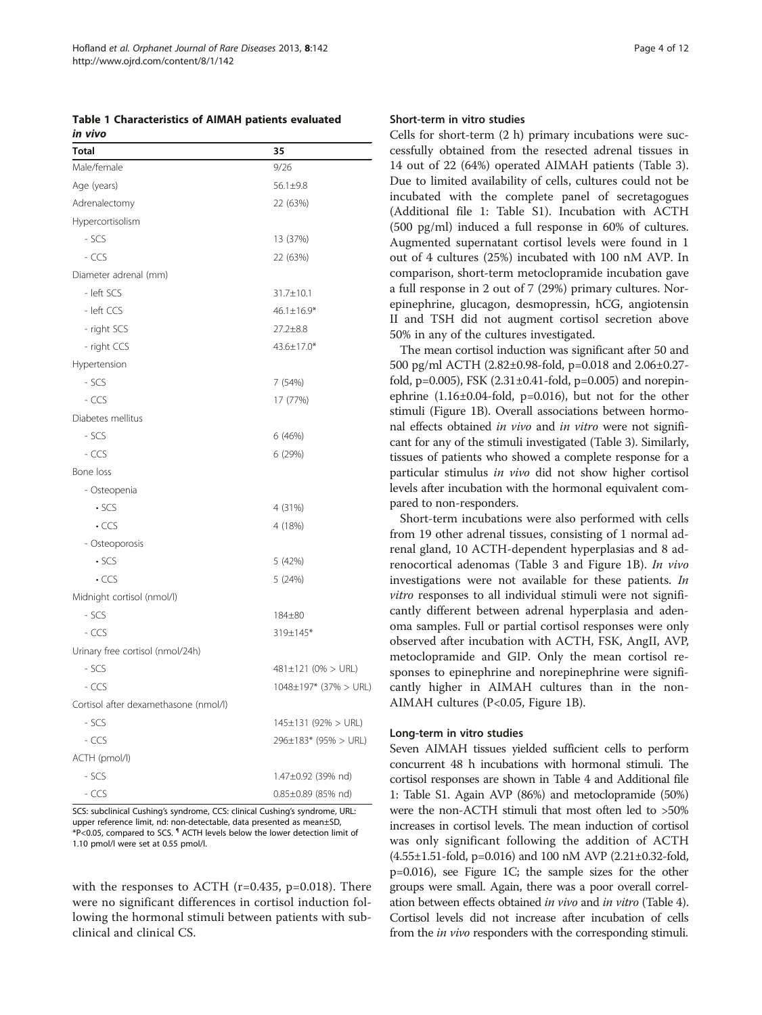<span id="page-3-0"></span>Table 1 Characteristics of AIMAH patients evaluated in vivo

| <b>Total</b>                          | 35                        |
|---------------------------------------|---------------------------|
| Male/female                           | 9/26                      |
| Age (years)                           | 56.1±9.8                  |
| Adrenalectomy                         | 22 (63%)                  |
| Hypercortisolism                      |                           |
| - SCS                                 | 13 (37%)                  |
| - CCS                                 | 22 (63%)                  |
| Diameter adrenal (mm)                 |                           |
| - left SCS                            | 31.7±10.1                 |
| - left CCS                            | $46.1 \pm 16.9*$          |
| - right SCS                           | 27.2±8.8                  |
| - right CCS                           | 43.6±17.0*                |
| Hypertension                          |                           |
| - SCS                                 | 7 (54%)                   |
| - CCS                                 | 17 (77%)                  |
| Diabetes mellitus                     |                           |
| - SCS                                 | 6 (46%)                   |
| - CCS                                 | 6 (29%)                   |
| Bone loss                             |                           |
| - Osteopenia                          |                           |
| $\cdot$ SCS                           | 4 (31%)                   |
| $\cdot$ CCS                           | 4 (18%)                   |
| - Osteoporosis                        |                           |
| $\cdot$ SCS                           | 5 (42%)                   |
| $\cdot$ CCS                           | 5 (24%)                   |
| Midnight cortisol (nmol/l)            |                           |
| - SCS                                 | 184±80                    |
| - CCS                                 | 319±145*                  |
| Urinary free cortisol (nmol/24h)      |                           |
| - SCS                                 | $481 \pm 121$ (0% > URL)  |
| - CCS                                 | 1048±197* (37% > URL)     |
| Cortisol after dexamethasone (nmol/l) |                           |
| - SCS                                 | $145 \pm 131$ (92% > URL) |
| - CCS                                 | 296±183* (95% > URL)      |
| ACTH (pmol/l)                         |                           |
| - SCS                                 | 1.47±0.92 (39% nd)        |
| - CCS                                 | 0.85±0.89 (85% nd)        |

SCS: subclinical Cushing's syndrome, CCS: clinical Cushing's syndrome, URL: upper reference limit, nd: non-detectable, data presented as mean±SD, \*P<0.05, compared to SCS. ¶ ACTH levels below the lower detection limit of 1.10 pmol/l were set at 0.55 pmol/l.

with the responses to ACTH  $(r=0.435, p=0.018)$ . There were no significant differences in cortisol induction following the hormonal stimuli between patients with subclinical and clinical CS.

#### Short-term in vitro studies

Cells for short-term (2 h) primary incubations were successfully obtained from the resected adrenal tissues in 14 out of 22 (64%) operated AIMAH patients (Table [3](#page-6-0)). Due to limited availability of cells, cultures could not be incubated with the complete panel of secretagogues (Additional file [1:](#page-9-0) Table S1). Incubation with ACTH (500 pg/ml) induced a full response in 60% of cultures. Augmented supernatant cortisol levels were found in 1 out of 4 cultures (25%) incubated with 100 nM AVP. In comparison, short-term metoclopramide incubation gave a full response in 2 out of 7 (29%) primary cultures. Norepinephrine, glucagon, desmopressin, hCG, angiotensin II and TSH did not augment cortisol secretion above 50% in any of the cultures investigated.

The mean cortisol induction was significant after 50 and 500 pg/ml ACTH (2.82±0.98-fold, p=0.018 and 2.06±0.27 fold,  $p=0.005$ ), FSK  $(2.31\pm0.41\text{-fold}, p=0.005)$  and norepinephrine  $(1.16\pm0.04\text{-}fold, p=0.016)$ , but not for the other stimuli (Figure [1B](#page-6-0)). Overall associations between hormonal effects obtained in vivo and in vitro were not significant for any of the stimuli investigated (Table [3\)](#page-6-0). Similarly, tissues of patients who showed a complete response for a particular stimulus in vivo did not show higher cortisol levels after incubation with the hormonal equivalent compared to non-responders.

Short-term incubations were also performed with cells from 19 other adrenal tissues, consisting of 1 normal adrenal gland, 10 ACTH-dependent hyperplasias and 8 adrenocortical adenomas (Table [3](#page-6-0) and Figure [1B](#page-6-0)). In vivo investigations were not available for these patients. In vitro responses to all individual stimuli were not significantly different between adrenal hyperplasia and adenoma samples. Full or partial cortisol responses were only observed after incubation with ACTH, FSK, AngII, AVP, metoclopramide and GIP. Only the mean cortisol responses to epinephrine and norepinephrine were significantly higher in AIMAH cultures than in the non-AIMAH cultures (P<0.05, Figure [1B](#page-6-0)).

### Long-term in vitro studies

Seven AIMAH tissues yielded sufficient cells to perform concurrent 48 h incubations with hormonal stimuli. The cortisol responses are shown in Table [4](#page-7-0) and Additional file [1](#page-9-0): Table S1. Again AVP (86%) and metoclopramide (50%) were the non-ACTH stimuli that most often led to >50% increases in cortisol levels. The mean induction of cortisol was only significant following the addition of ACTH (4.55±1.51-fold, p=0.016) and 100 nM AVP (2.21±0.32-fold, p=0.016), see Figure [1C](#page-6-0); the sample sizes for the other groups were small. Again, there was a poor overall correlation between effects obtained in vivo and in vitro (Table [4](#page-7-0)). Cortisol levels did not increase after incubation of cells from the in vivo responders with the corresponding stimuli.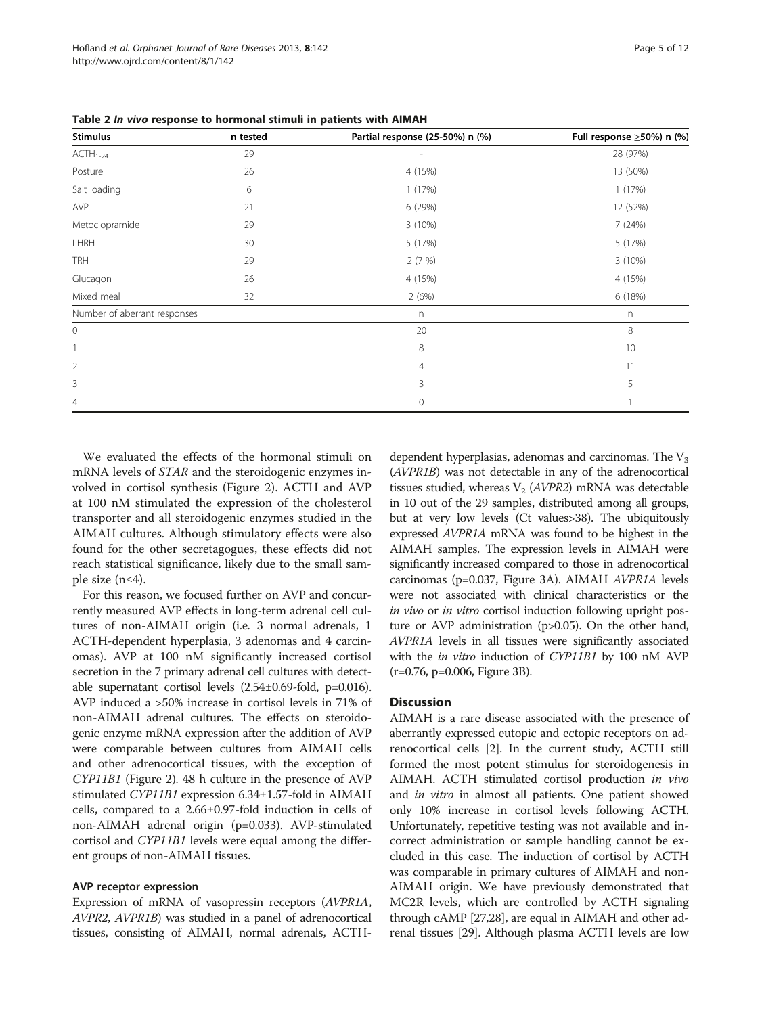<span id="page-4-0"></span>

| Table 2 In vivo response to hormonal stimuli in patients with AIMAH |  |  |  |
|---------------------------------------------------------------------|--|--|--|
|---------------------------------------------------------------------|--|--|--|

| <b>Stimulus</b>              | n tested | Partial response (25-50%) n (%) | Full response ≥50%) n (%) |  |
|------------------------------|----------|---------------------------------|---------------------------|--|
| $ACTH1-24$                   | 29       |                                 | 28 (97%)                  |  |
| Posture                      | 26       | 4 (15%)                         | 13 (50%)                  |  |
| Salt loading                 | 6        | 1(17%)                          | 1(17%)                    |  |
| AVP                          | 21       | 6 (29%)                         | 12 (52%)                  |  |
| Metoclopramide               | 29       | 3(10%)                          | 7(24%)                    |  |
| <b>LHRH</b>                  | 30       | 5 (17%)                         | 5(17%)                    |  |
| <b>TRH</b>                   | 29       | 2(7%)                           | 3(10%)                    |  |
| Glucagon                     | 26       | 4 (15%)                         | 4 (15%)                   |  |
| Mixed meal                   | 32       | 2(6%)                           | 6(18%)                    |  |
| Number of aberrant responses |          | n                               | n                         |  |
| 0                            |          | 20                              | 8                         |  |
|                              |          | 8                               | 10                        |  |
| $\overline{2}$               |          | $\overline{4}$                  | 11                        |  |
| 3                            |          | 3                               | 5                         |  |
| 4                            |          | 0                               |                           |  |

We evaluated the effects of the hormonal stimuli on mRNA levels of STAR and the steroidogenic enzymes involved in cortisol synthesis (Figure [2\)](#page-7-0). ACTH and AVP at 100 nM stimulated the expression of the cholesterol transporter and all steroidogenic enzymes studied in the AIMAH cultures. Although stimulatory effects were also found for the other secretagogues, these effects did not reach statistical significance, likely due to the small sample size (n≤4).

For this reason, we focused further on AVP and concurrently measured AVP effects in long-term adrenal cell cultures of non-AIMAH origin (i.e. 3 normal adrenals, 1 ACTH-dependent hyperplasia, 3 adenomas and 4 carcinomas). AVP at 100 nM significantly increased cortisol secretion in the 7 primary adrenal cell cultures with detectable supernatant cortisol levels (2.54±0.69-fold, p=0.016). AVP induced a >50% increase in cortisol levels in 71% of non-AIMAH adrenal cultures. The effects on steroidogenic enzyme mRNA expression after the addition of AVP were comparable between cultures from AIMAH cells and other adrenocortical tissues, with the exception of CYP11B1 (Figure [2](#page-7-0)). 48 h culture in the presence of AVP stimulated CYP11B1 expression 6.34±1.57-fold in AIMAH cells, compared to a 2.66±0.97-fold induction in cells of non-AIMAH adrenal origin (p=0.033). AVP-stimulated cortisol and CYP11B1 levels were equal among the different groups of non-AIMAH tissues.

#### AVP receptor expression

Expression of mRNA of vasopressin receptors (AVPR1A, AVPR2, AVPR1B) was studied in a panel of adrenocortical tissues, consisting of AIMAH, normal adrenals, ACTH-

dependent hyperplasias, adenomas and carcinomas. The  $V_3$ (AVPR1B) was not detectable in any of the adrenocortical tissues studied, whereas  $V_2$  (AVPR2) mRNA was detectable in 10 out of the 29 samples, distributed among all groups, but at very low levels (Ct values>38). The ubiquitously expressed AVPR1A mRNA was found to be highest in the AIMAH samples. The expression levels in AIMAH were significantly increased compared to those in adrenocortical carcinomas (p=0.037, Figure [3A](#page-8-0)). AIMAH AVPR1A levels were not associated with clinical characteristics or the in vivo or in vitro cortisol induction following upright posture or AVP administration (p>0.05). On the other hand, AVPR1A levels in all tissues were significantly associated with the *in vitro* induction of CYP11B1 by 100 nM AVP (r=0.76, p=0.006, Figure [3](#page-8-0)B).

# **Discussion**

AIMAH is a rare disease associated with the presence of aberrantly expressed eutopic and ectopic receptors on adrenocortical cells [[2\]](#page-10-0). In the current study, ACTH still formed the most potent stimulus for steroidogenesis in AIMAH. ACTH stimulated cortisol production in vivo and *in vitro* in almost all patients. One patient showed only 10% increase in cortisol levels following ACTH. Unfortunately, repetitive testing was not available and incorrect administration or sample handling cannot be excluded in this case. The induction of cortisol by ACTH was comparable in primary cultures of AIMAH and non-AIMAH origin. We have previously demonstrated that MC2R levels, which are controlled by ACTH signaling through cAMP [[27,28\]](#page-10-0), are equal in AIMAH and other adrenal tissues [\[29\]](#page-10-0). Although plasma ACTH levels are low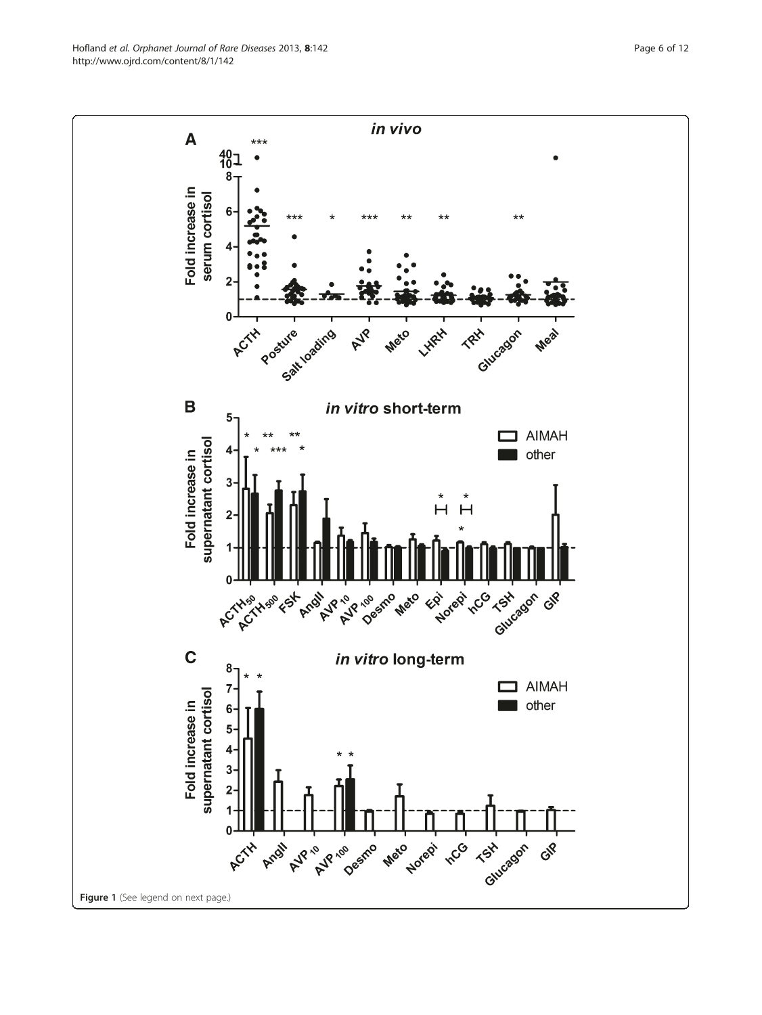Hofland et al. Orphanet Journal of Rare Diseases 2013, 8:142 Page 6 of 12 http://www.ojrd.com/content/8/1/142

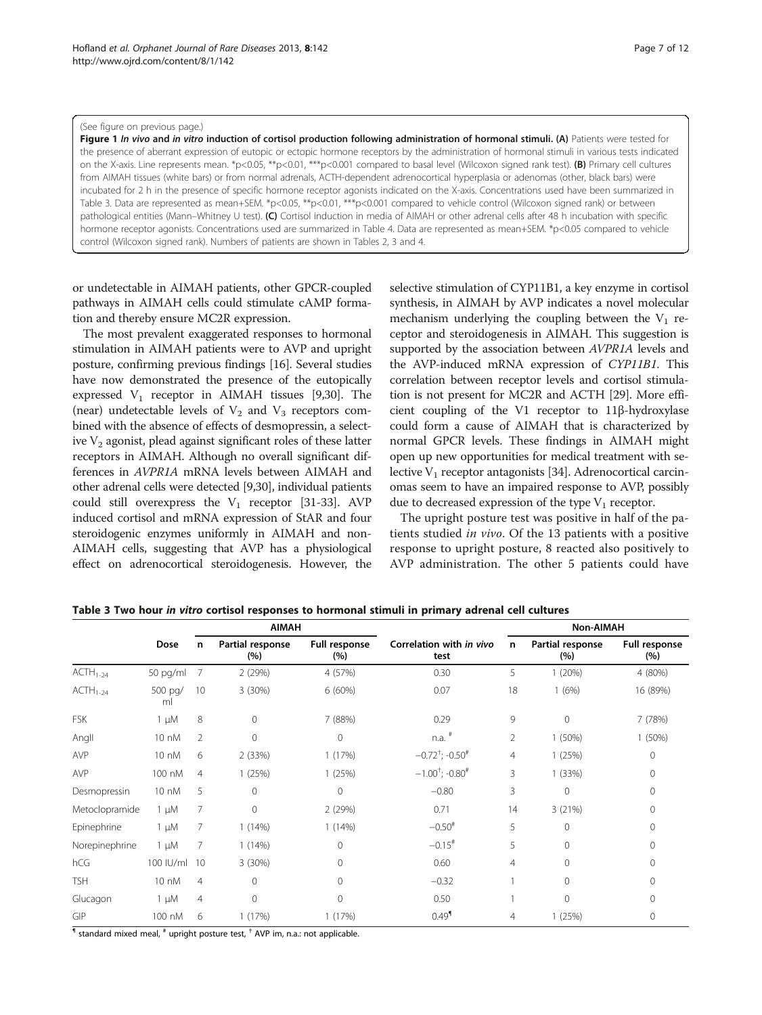#### <span id="page-6-0"></span>(See figure on previous page.)

Figure 1 In vivo and in vitro induction of cortisol production following administration of hormonal stimuli. (A) Patients were tested for the presence of aberrant expression of eutopic or ectopic hormone receptors by the administration of hormonal stimuli in various tests indicated on the X-axis. Line represents mean. \*p<0.05, \*\*p<0.01, \*\*\*p<0.001 compared to basal level (Wilcoxon signed rank test). (B) Primary cell cultures from AIMAH tissues (white bars) or from normal adrenals, ACTH-dependent adrenocortical hyperplasia or adenomas (other, black bars) were incubated for 2 h in the presence of specific hormone receptor agonists indicated on the X-axis. Concentrations used have been summarized in Table 3. Data are represented as mean+SEM. \*p<0.05, \*\*p<0.01, \*\*\*p<0.001 compared to vehicle control (Wilcoxon signed rank) or between pathological entities (Mann–Whitney U test). (C) Cortisol induction in media of AIMAH or other adrenal cells after 48 h incubation with specific hormone receptor agonists. Concentrations used are summarized in Table [4](#page-7-0). Data are represented as mean+SEM. \*p<0.05 compared to vehicle control (Wilcoxon signed rank). Numbers of patients are shown in Tables [2,](#page-4-0) 3 and [4](#page-7-0).

or undetectable in AIMAH patients, other GPCR-coupled pathways in AIMAH cells could stimulate cAMP formation and thereby ensure MC2R expression.

The most prevalent exaggerated responses to hormonal stimulation in AIMAH patients were to AVP and upright posture, confirming previous findings [[16](#page-10-0)]. Several studies have now demonstrated the presence of the eutopically expressed  $V_1$  receptor in AIMAH tissues [[9,30](#page-10-0)]. The (near) undetectable levels of  $V_2$  and  $V_3$  receptors combined with the absence of effects of desmopressin, a selective  $V_2$  agonist, plead against significant roles of these latter receptors in AIMAH. Although no overall significant differences in AVPR1A mRNA levels between AIMAH and other adrenal cells were detected [\[9,30](#page-10-0)], individual patients could still overexpress the  $V_1$  receptor [[31](#page-10-0)-[33\]](#page-10-0). AVP induced cortisol and mRNA expression of StAR and four steroidogenic enzymes uniformly in AIMAH and non-AIMAH cells, suggesting that AVP has a physiological effect on adrenocortical steroidogenesis. However, the

selective stimulation of CYP11B1, a key enzyme in cortisol synthesis, in AIMAH by AVP indicates a novel molecular mechanism underlying the coupling between the  $V_1$  receptor and steroidogenesis in AIMAH. This suggestion is supported by the association between AVPR1A levels and the AVP-induced mRNA expression of CYP11B1. This correlation between receptor levels and cortisol stimulation is not present for MC2R and ACTH [\[29](#page-10-0)]. More efficient coupling of the V1 receptor to 11β-hydroxylase could form a cause of AIMAH that is characterized by normal GPCR levels. These findings in AIMAH might open up new opportunities for medical treatment with selective  $V_1$  receptor antagonists [\[34\]](#page-10-0). Adrenocortical carcinomas seem to have an impaired response to AVP, possibly due to decreased expression of the type  $V_1$  receptor.

The upright posture test was positive in half of the patients studied in vivo. Of the 13 patients with a positive response to upright posture, 8 reacted also positively to AVP administration. The other 5 patients could have

|                |               | <b>AIMAH</b>   |                         |                       |                                        | Non-AIMAH      |                         |                             |
|----------------|---------------|----------------|-------------------------|-----------------------|----------------------------------------|----------------|-------------------------|-----------------------------|
|                | Dose          |                | Partial response<br>(%) | Full response<br>(% ) | Correlation with in vivo<br>test       |                | Partial response<br>(%) | <b>Full response</b><br>(%) |
| $ACTH1-24$     | 50 pg/ml      | 7              | 2 (29%)                 | 4 (57%)               | 0.30                                   | 5              | 1(20%)                  | 4 (80%)                     |
| $ACTH1-24$     | 500 pg/<br>ml | 10             | 3 (30%)                 | 6(60%)                | 0.07                                   | 18             | 1(6%)                   | 16 (89%)                    |
| <b>FSK</b>     | $1 \mu M$     | 8              | 0                       | 7 (88%)               | 0.29                                   | 9              | $\mathbf 0$             | 7 (78%)                     |
| Angll          | 10 nM         | 2              | 0                       | $\mathbf 0$           | $n.a.$ #                               | $\overline{2}$ | 1(50%)                  | 1(50%)                      |
| <b>AVP</b>     | 10 nM         | 6              | 2(33%)                  | 1(17%)                | $-0.72^{\dagger}$ ; $-0.50^{\dagger}$  | $\overline{4}$ | 1(25%)                  | $\mathbf{0}$                |
| <b>AVP</b>     | 100 nM        | $\overline{4}$ | 1(25%)                  | 1(25%)                | $-1.00^{\dagger}$ ; -0.80 <sup>#</sup> | 3              | 1(33%)                  | 0                           |
| Desmopressin   | 10 nM         | 5              | 0                       | $\circ$               | $-0.80$                                | 3              | $\mathbf 0$             | 0                           |
| Metoclopramide | $1 \mu M$     | 7              | 0                       | 2(29%)                | 0.71                                   | 14             | 3(21%)                  | $\circ$                     |
| Epinephrine    | $1 \mu M$     | 7              | 1(14%)                  | 1(14%)                | $-0.50$ <sup>#</sup>                   | 5              | $\mathbf{0}$            | 0                           |
| Norepinephrine | $1 \mu M$     | 7              | 1(14%)                  | $\circ$               | $-0.15$ <sup>#</sup>                   | 5              | $\mathbf{0}$            | $\Omega$                    |
| hCG            | 100 IU/ml     | 10             | 3 (30%)                 | $\circ$               | 0.60                                   | $\overline{4}$ | $\Omega$                | 0                           |
| <b>TSH</b>     | 10 nM         | $\overline{4}$ | 0                       | $\mathsf{O}\xspace$   | $-0.32$                                |                | $\mathbf{0}$            | 0                           |
| Glucagon       | $1 \mu M$     | $\overline{4}$ | 0                       | $\mathbf 0$           | 0.50                                   |                | 0                       | 0                           |
| GIP            | 100 nM        | 6              | 1(17%)                  | 1(17%)                | $0.49$ <sup>1</sup>                    | 4              | 1(25%)                  | $\circ$                     |

Table 3 Two hour in vitro cortisol responses to hormonal stimuli in primary adrenal cell cultures

 $<sup>1</sup>$  standard mixed meal,  $<sup>#</sup>$  upright posture test,  $<sup>†</sup>$  AVP im, n.a.: not applicable.</sup></sup></sup>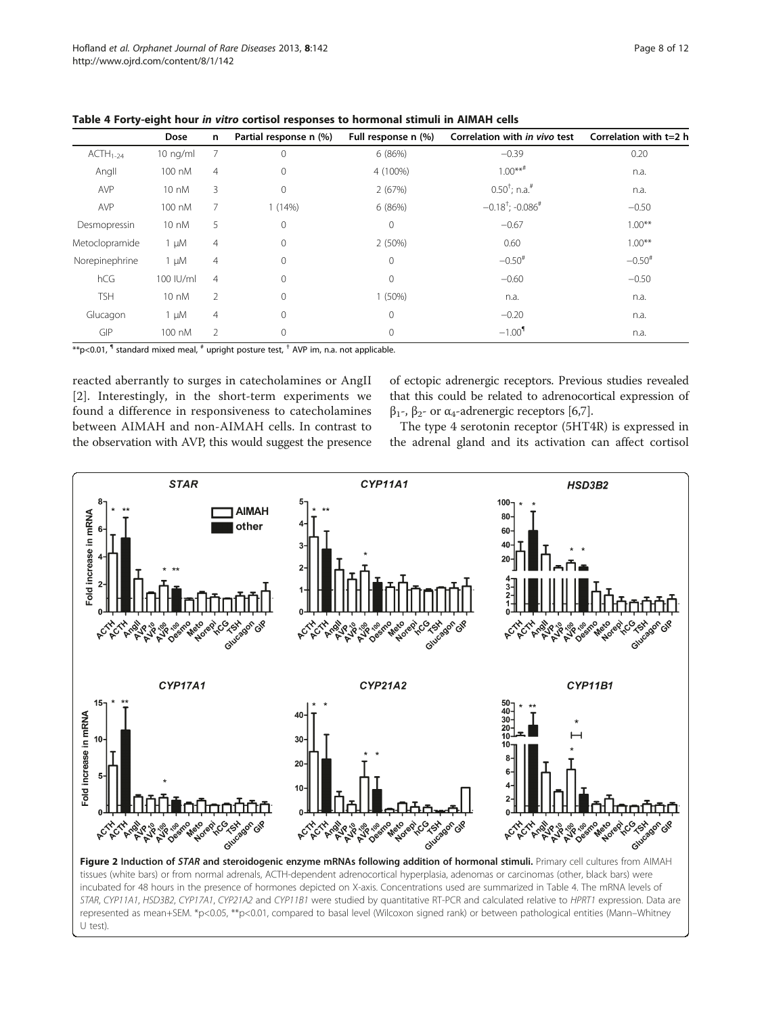|                | Dose            | n              | Partial response n (%) | Full response n (%) | Correlation with in vivo test          | Correlation with $t=2$ h |
|----------------|-----------------|----------------|------------------------|---------------------|----------------------------------------|--------------------------|
| $ACTH1-24$     | $10$ ng/ml      |                | $\Omega$               | 6(86%)              | $-0.39$                                | 0.20                     |
| Angll          | 100 nM          | $\overline{4}$ | $\mathbf{0}$           | 4 (100%)            | $1.00***$ #                            | n.a.                     |
| <b>AVP</b>     | 10 nM           | 3              | $\mathbf{0}$           | 2(67%)              | $0.50^{\dagger}$ ; n.a. <sup>#</sup>   | n.a.                     |
| <b>AVP</b>     | 100 nM          |                | 1(14%)                 | 6 (86%)             | $-0.18^{\dagger}$ ; $-0.086^{\dagger}$ | $-0.50$                  |
| Desmopressin   | $10 \text{ nM}$ | 5              | $\mathbf{0}$           | $\mathbf{0}$        | $-0.67$                                | $1.00***$                |
| Metoclopramide | $1 \mu M$       | $\overline{4}$ | $\mathbf{0}$           | 2 (50%)             | 0.60                                   | $1.00***$                |
| Norepinephrine | $1 \mu M$       | $\overline{4}$ | $\Omega$               | $\Omega$            | $-0.50$ <sup>#</sup>                   | $-0.50$ <sup>#</sup>     |
| hCG            | 100 IU/ml       | $\overline{4}$ | $\Omega$               | $\Omega$            | $-0.60$                                | $-0.50$                  |
| <b>TSH</b>     | 10 nM           | $\overline{2}$ | $\mathbf{0}$           | $1(50\%)$           | n.a.                                   | n.a.                     |
| Glucagon       | $1 \mu M$       | $\overline{4}$ | $\mathbf{0}$           | $\mathbf{0}$        | $-0.20$                                | n.a.                     |
| GIP            | 100 nM          | $\mathfrak{D}$ | $\mathbf{0}$           | $\mathbf{0}$        | $-1.00$ <sup>1</sup>                   | n.a.                     |

<span id="page-7-0"></span>

| Table 4 Forty-eight hour in vitro cortisol responses to hormonal stimuli in AIMAH cells |  |  |
|-----------------------------------------------------------------------------------------|--|--|
|-----------------------------------------------------------------------------------------|--|--|

 $*p$ <0.01,  $\textsf{I}$  standard mixed meal,  $\textsf{I}$  upright posture test,  $\textsf{I}$  AVP im, n.a. not applicable.

reacted aberrantly to surges in catecholamines or AngII [[2\]](#page-10-0). Interestingly, in the short-term experiments we found a difference in responsiveness to catecholamines between AIMAH and non-AIMAH cells. In contrast to the observation with AVP, this would suggest the presence of ectopic adrenergic receptors. Previous studies revealed that this could be related to adrenocortical expression of  $β_1$ -,  $β_2$ - or α<sub>4</sub>-adrenergic receptors [\[6,7\]](#page-10-0).

The type 4 serotonin receptor (5HT4R) is expressed in the adrenal gland and its activation can affect cortisol



Figure 2 Induction of STAR and steroidogenic enzyme mRNAs following addition of hormonal stimuli. Primary cell cultures from AIMAH tissues (white bars) or from normal adrenals, ACTH-dependent adrenocortical hyperplasia, adenomas or carcinomas (other, black bars) were incubated for 48 hours in the presence of hormones depicted on X-axis. Concentrations used are summarized in Table 4. The mRNA levels of STAR, CYP11A1, HSD3B2, CYP17A1, CYP21A2 and CYP11B1 were studied by quantitative RT-PCR and calculated relative to HPRT1 expression. Data are represented as mean+SEM. \*p<0.05, \*\*p<0.01, compared to basal level (Wilcoxon signed rank) or between pathological entities (Mann–Whitney U test).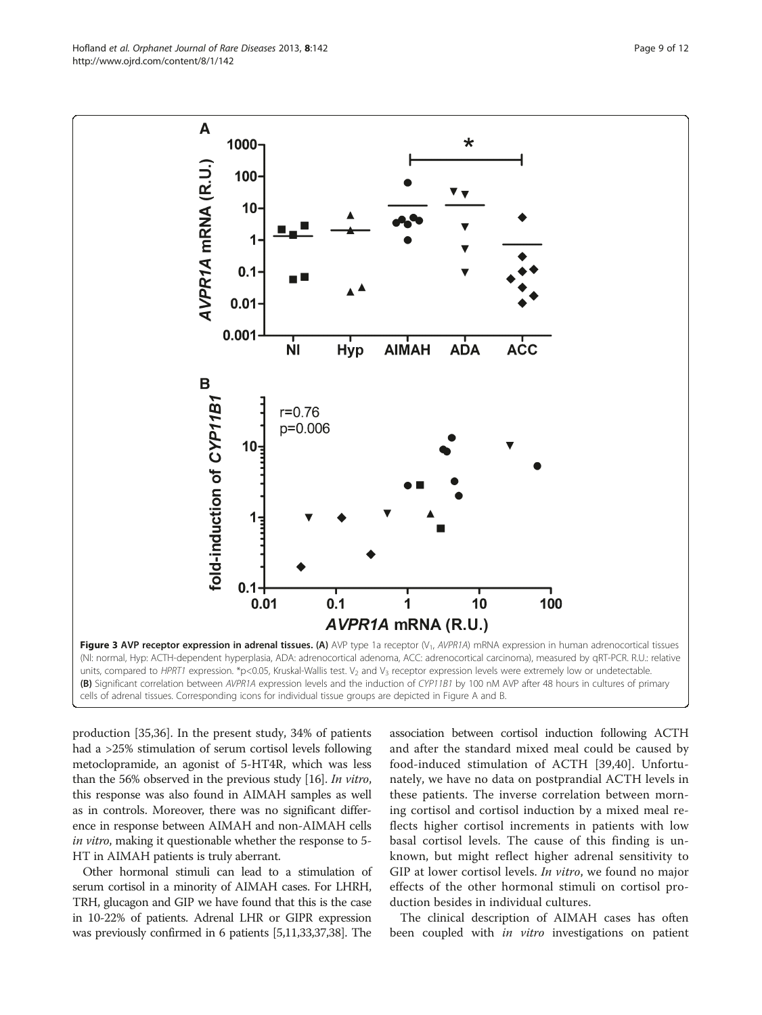production [\[35](#page-10-0)[,36](#page-11-0)]. In the present study, 34% of patients had a >25% stimulation of serum cortisol levels following metoclopramide, an agonist of 5-HT4R, which was less than the 56% observed in the previous study [\[16\]](#page-10-0). In vitro, this response was also found in AIMAH samples as well as in controls. Moreover, there was no significant difference in response between AIMAH and non-AIMAH cells in vitro, making it questionable whether the response to 5- HT in AIMAH patients is truly aberrant.

Other hormonal stimuli can lead to a stimulation of serum cortisol in a minority of AIMAH cases. For LHRH, TRH, glucagon and GIP we have found that this is the case in 10-22% of patients. Adrenal LHR or GIPR expression was previously confirmed in 6 patients [\[5,11,33,](#page-10-0)[37,38\]](#page-11-0). The

association between cortisol induction following ACTH and after the standard mixed meal could be caused by food-induced stimulation of ACTH [[39](#page-11-0),[40\]](#page-11-0). Unfortunately, we have no data on postprandial ACTH levels in these patients. The inverse correlation between morning cortisol and cortisol induction by a mixed meal reflects higher cortisol increments in patients with low basal cortisol levels. The cause of this finding is unknown, but might reflect higher adrenal sensitivity to GIP at lower cortisol levels. *In vitro*, we found no major effects of the other hormonal stimuli on cortisol production besides in individual cultures.

The clinical description of AIMAH cases has often been coupled with in vitro investigations on patient

<span id="page-8-0"></span>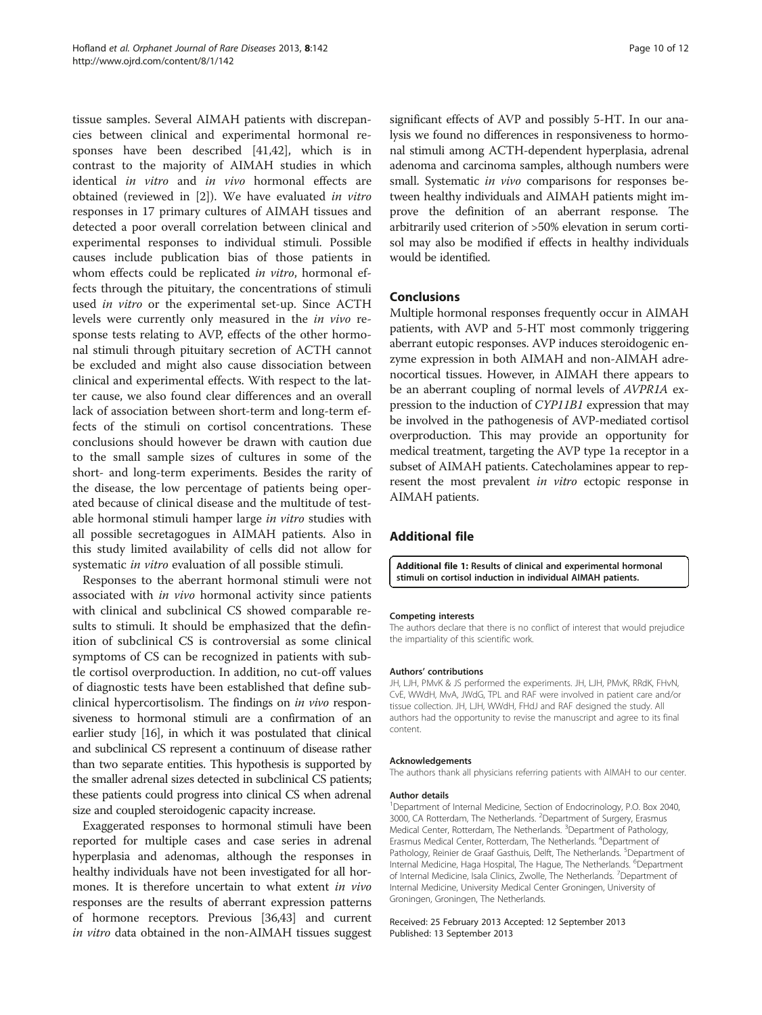<span id="page-9-0"></span>tissue samples. Several AIMAH patients with discrepancies between clinical and experimental hormonal responses have been described [\[41,42](#page-11-0)], which is in contrast to the majority of AIMAH studies in which identical in vitro and in vivo hormonal effects are obtained (reviewed in [\[2](#page-10-0)]). We have evaluated in vitro responses in 17 primary cultures of AIMAH tissues and detected a poor overall correlation between clinical and experimental responses to individual stimuli. Possible causes include publication bias of those patients in whom effects could be replicated in vitro, hormonal effects through the pituitary, the concentrations of stimuli used in vitro or the experimental set-up. Since ACTH levels were currently only measured in the in vivo response tests relating to AVP, effects of the other hormonal stimuli through pituitary secretion of ACTH cannot be excluded and might also cause dissociation between clinical and experimental effects. With respect to the latter cause, we also found clear differences and an overall lack of association between short-term and long-term effects of the stimuli on cortisol concentrations. These conclusions should however be drawn with caution due to the small sample sizes of cultures in some of the short- and long-term experiments. Besides the rarity of the disease, the low percentage of patients being operated because of clinical disease and the multitude of testable hormonal stimuli hamper large in vitro studies with all possible secretagogues in AIMAH patients. Also in this study limited availability of cells did not allow for systematic *in vitro* evaluation of all possible stimuli.

Responses to the aberrant hormonal stimuli were not associated with in vivo hormonal activity since patients with clinical and subclinical CS showed comparable results to stimuli. It should be emphasized that the definition of subclinical CS is controversial as some clinical symptoms of CS can be recognized in patients with subtle cortisol overproduction. In addition, no cut-off values of diagnostic tests have been established that define subclinical hypercortisolism. The findings on in vivo responsiveness to hormonal stimuli are a confirmation of an earlier study [\[16\]](#page-10-0), in which it was postulated that clinical and subclinical CS represent a continuum of disease rather than two separate entities. This hypothesis is supported by the smaller adrenal sizes detected in subclinical CS patients; these patients could progress into clinical CS when adrenal size and coupled steroidogenic capacity increase.

Exaggerated responses to hormonal stimuli have been reported for multiple cases and case series in adrenal hyperplasia and adenomas, although the responses in healthy individuals have not been investigated for all hormones. It is therefore uncertain to what extent in vivo responses are the results of aberrant expression patterns of hormone receptors. Previous [\[36,43](#page-11-0)] and current in vitro data obtained in the non-AIMAH tissues suggest significant effects of AVP and possibly 5-HT. In our analysis we found no differences in responsiveness to hormonal stimuli among ACTH-dependent hyperplasia, adrenal adenoma and carcinoma samples, although numbers were small. Systematic *in vivo* comparisons for responses between healthy individuals and AIMAH patients might improve the definition of an aberrant response. The arbitrarily used criterion of >50% elevation in serum cortisol may also be modified if effects in healthy individuals would be identified.

# Conclusions

Multiple hormonal responses frequently occur in AIMAH patients, with AVP and 5-HT most commonly triggering aberrant eutopic responses. AVP induces steroidogenic enzyme expression in both AIMAH and non-AIMAH adrenocortical tissues. However, in AIMAH there appears to be an aberrant coupling of normal levels of AVPR1A expression to the induction of CYP11B1 expression that may be involved in the pathogenesis of AVP-mediated cortisol overproduction. This may provide an opportunity for medical treatment, targeting the AVP type 1a receptor in a subset of AIMAH patients. Catecholamines appear to represent the most prevalent *in vitro* ectopic response in AIMAH patients.

# Additional file

[Additional file 1:](http://www.biomedcentral.com/content/supplementary/1750-1172-8-142-S1.xlsx) Results of clinical and experimental hormonal stimuli on cortisol induction in individual AIMAH patients.

#### Competing interests

The authors declare that there is no conflict of interest that would prejudice the impartiality of this scientific work.

#### Authors' contributions

JH, LJH, PMvK & JS performed the experiments. JH, LJH, PMvK, RRdK, FHvN, CvE, WWdH, MvA, JWdG, TPL and RAF were involved in patient care and/or tissue collection. JH, LJH, WWdH, FHdJ and RAF designed the study. All authors had the opportunity to revise the manuscript and agree to its final content.

#### Acknowledgements

The authors thank all physicians referring patients with AIMAH to our center.

#### Author details

<sup>1</sup>Department of Internal Medicine, Section of Endocrinology, P.O. Box 2040, 3000, CA Rotterdam, The Netherlands. <sup>2</sup>Department of Surgery, Erasmus Medical Center, Rotterdam, The Netherlands. <sup>3</sup>Department of Pathology Erasmus Medical Center, Rotterdam, The Netherlands. <sup>4</sup>Department of Pathology, Reinier de Graaf Gasthuis, Delft, The Netherlands. <sup>5</sup>Department of Internal Medicine, Haga Hospital, The Hague, The Netherlands. <sup>6</sup>Department of Internal Medicine, Isala Clinics, Zwolle, The Netherlands. <sup>7</sup>Department of Internal Medicine, University Medical Center Groningen, University of Groningen, Groningen, The Netherlands.

#### Received: 25 February 2013 Accepted: 12 September 2013 Published: 13 September 2013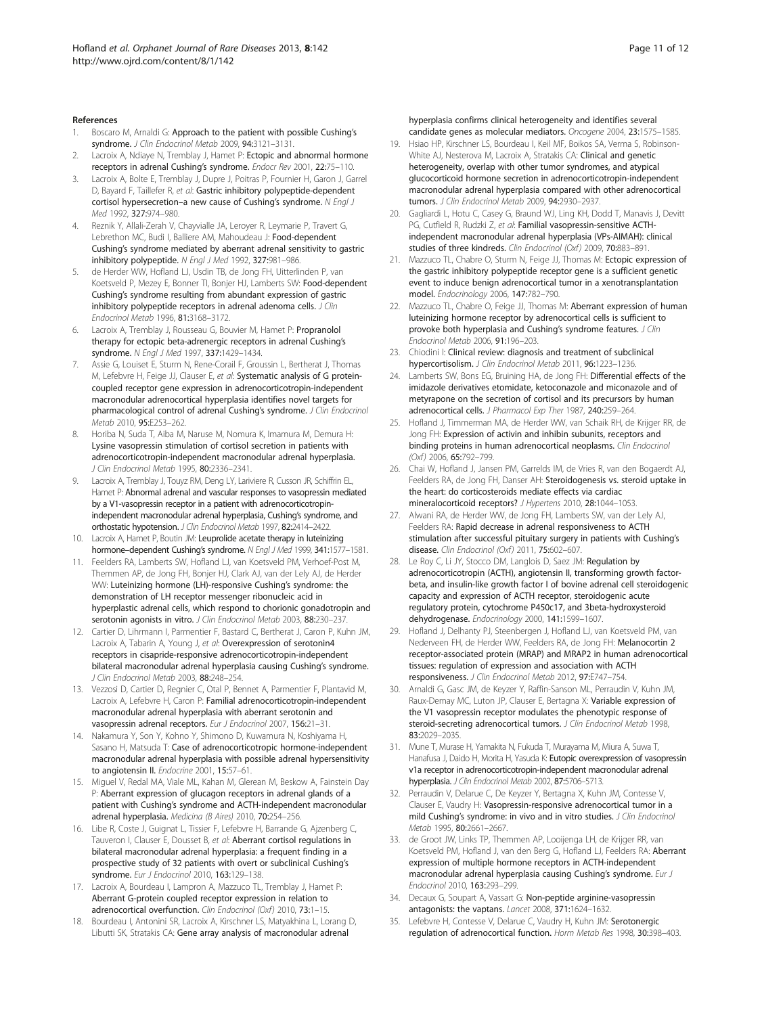#### <span id="page-10-0"></span>References

- Boscaro M, Arnaldi G: Approach to the patient with possible Cushing's syndrome. J Clin Endocrinol Metab 2009, 94:3121–3131.
- Lacroix A, Ndiaye N, Tremblay J, Hamet P: Ectopic and abnormal hormone receptors in adrenal Cushing's syndrome. Endocr Rev 2001, 22:75–110.
- 3. Lacroix A, Bolte E, Tremblay J, Dupre J, Poitras P, Fournier H, Garon J, Garrel D, Bayard F, Taillefer R, et al: Gastric inhibitory polypeptide-dependent cortisol hypersecretion–a new cause of Cushing's syndrome. N Engl J Med 1992, 327:974–980.
- 4. Reznik Y, Allali-Zerah V, Chayvialle JA, Leroyer R, Leymarie P, Travert G, Lebrethon MC, Budi I, Balliere AM, Mahoudeau J: Food-dependent Cushing's syndrome mediated by aberrant adrenal sensitivity to gastric inhibitory polypeptide. N Engl J Med 1992, 327:981–986.
- 5. de Herder WW, Hofland LJ, Usdin TB, de Jong FH, Uitterlinden P, van Koetsveld P, Mezey E, Bonner TI, Bonjer HJ, Lamberts SW: Food-dependent Cushing's syndrome resulting from abundant expression of gastric inhibitory polypeptide receptors in adrenal adenoma cells. J Clin Endocrinol Metab 1996, 81:3168–3172.
- 6. Lacroix A, Tremblay J, Rousseau G, Bouvier M, Hamet P: Propranolol therapy for ectopic beta-adrenergic receptors in adrenal Cushing's syndrome. N Engl J Med 1997, 337:1429-1434.
- Assie G, Louiset E, Sturm N, Rene-Corail F, Groussin L, Bertherat J, Thomas M, Lefebvre H, Feige JJ, Clauser E, et al: Systematic analysis of G proteincoupled receptor gene expression in adrenocorticotropin-independent macronodular adrenocortical hyperplasia identifies novel targets for pharmacological control of adrenal Cushing's syndrome. J Clin Endocrinol Metab 2010, 95:E253–262.
- 8. Horiba N, Suda T, Aiba M, Naruse M, Nomura K, Imamura M, Demura H: Lysine vasopressin stimulation of cortisol secretion in patients with adrenocorticotropin-independent macronodular adrenal hyperplasia. J Clin Endocrinol Metab 1995, 80:2336–2341.
- Lacroix A, Tremblay J, Touyz RM, Deng LY, Lariviere R, Cusson JR, Schiffrin EL, Hamet P: Abnormal adrenal and vascular responses to vasopressin mediated by a V1-vasopressin receptor in a patient with adrenocorticotropinindependent macronodular adrenal hyperplasia, Cushing's syndrome, and orthostatic hypotension. J Clin Endocrinol Metab 1997, 82:2414-2422.
- 10. Lacroix A, Hamet P, Boutin JM: Leuprolide acetate therapy in luteinizing hormone–dependent Cushing's syndrome. N Engl J Med 1999, 341:1577–1581.
- 11. Feelders RA, Lamberts SW, Hofland LJ, van Koetsveld PM, Verhoef-Post M, Themmen AP, de Jong FH, Bonjer HJ, Clark AJ, van der Lely AJ, de Herder WW: Luteinizing hormone (LH)-responsive Cushing's syndrome: the demonstration of LH receptor messenger ribonucleic acid in hyperplastic adrenal cells, which respond to chorionic gonadotropin and serotonin agonists in vitro. J Clin Endocrinol Metab 2003, 88:230-237.
- 12. Cartier D, Lihrmann I, Parmentier F, Bastard C, Bertherat J, Caron P, Kuhn JM, Lacroix A, Tabarin A, Young J, et al: Overexpression of serotonin4 receptors in cisapride-responsive adrenocorticotropin-independent bilateral macronodular adrenal hyperplasia causing Cushing's syndrome. J Clin Endocrinol Metab 2003, 88:248–254.
- 13. Vezzosi D, Cartier D, Regnier C, Otal P, Bennet A, Parmentier F, Plantavid M, Lacroix A, Lefebvre H, Caron P: Familial adrenocorticotropin-independent macronodular adrenal hyperplasia with aberrant serotonin and vasopressin adrenal receptors. Eur J Endocrinol 2007, 156:21–31.
- 14. Nakamura Y, Son Y, Kohno Y, Shimono D, Kuwamura N, Koshiyama H, Sasano H, Matsuda T: Case of adrenocorticotropic hormone-independent macronodular adrenal hyperplasia with possible adrenal hypersensitivity to angiotensin II. Endocrine 2001, 15:57-61.
- 15. Miguel V, Redal MA, Viale ML, Kahan M, Glerean M, Beskow A, Fainstein Day P: Aberrant expression of glucagon receptors in adrenal glands of a patient with Cushing's syndrome and ACTH-independent macronodular adrenal hyperplasia. Medicina (B Aires) 2010, 70:254–256.
- 16. Libe R, Coste J, Guignat L, Tissier F, Lefebvre H, Barrande G, Ajzenberg C, Tauveron I, Clauser E, Dousset B, et al: Aberrant cortisol regulations in bilateral macronodular adrenal hyperplasia: a frequent finding in a prospective study of 32 patients with overt or subclinical Cushing's syndrome. Eur J Endocrinol 2010, 163:129-138.
- 17. Lacroix A, Bourdeau I, Lampron A, Mazzuco TL, Tremblay J, Hamet P: Aberrant G-protein coupled receptor expression in relation to adrenocortical overfunction. Clin Endocrinol (Oxf) 2010, 73:1-15.
- 18. Bourdeau I, Antonini SR, Lacroix A, Kirschner LS, Matyakhina L, Lorang D, Libutti SK, Stratakis CA: Gene array analysis of macronodular adrenal

hyperplasia confirms clinical heterogeneity and identifies several candidate genes as molecular mediators. Oncogene 2004, 23:1575–1585.

- 19. Hsiao HP, Kirschner LS, Bourdeau I, Keil MF, Boikos SA, Verma S, Robinson-White AJ, Nesterova M, Lacroix A, Stratakis CA: Clinical and genetic heterogeneity, overlap with other tumor syndromes, and atypical glucocorticoid hormone secretion in adrenocorticotropin-independent macronodular adrenal hyperplasia compared with other adrenocortical tumors. J Clin Endocrinol Metab 2009, 94:2930–2937.
- 20. Gagliardi L, Hotu C, Casey G, Braund WJ, Ling KH, Dodd T, Manavis J, Devitt PG, Cutfield R, Rudzki Z, et al: Familial vasopressin-sensitive ACTHindependent macronodular adrenal hyperplasia (VPs-AIMAH): clinical studies of three kindreds. Clin Endocrinol (Oxf) 2009, 70:883–891.
- 21. Mazzuco TL, Chabre O, Sturm N, Feige JJ, Thomas M: Ectopic expression of the gastric inhibitory polypeptide receptor gene is a sufficient genetic event to induce benign adrenocortical tumor in a xenotransplantation model. Endocrinology 2006, 147:782–790.
- 22. Mazzuco TL, Chabre O, Feige JJ, Thomas M: Aberrant expression of human luteinizing hormone receptor by adrenocortical cells is sufficient to provoke both hyperplasia and Cushing's syndrome features. J Clin Endocrinol Metab 2006, 91:196–203.
- 23. Chiodini I: Clinical review: diagnosis and treatment of subclinical hypercortisolism. J Clin Endocrinol Metab 2011, 96:1223–1236.
- 24. Lamberts SW, Bons EG, Bruining HA, de Jong FH: Differential effects of the imidazole derivatives etomidate, ketoconazole and miconazole and of metyrapone on the secretion of cortisol and its precursors by human adrenocortical cells. J Pharmacol Exp Ther 1987, 240:259-264
- 25. Hofland J, Timmerman MA, de Herder WW, van Schaik RH, de Krijger RR, de Jong FH: Expression of activin and inhibin subunits, receptors and binding proteins in human adrenocortical neoplasms. Clin Endocrinol (Oxf) 2006, 65:792–799.
- 26. Chai W, Hofland J, Jansen PM, Garrelds IM, de Vries R, van den Bogaerdt AJ, Feelders RA, de Jong FH, Danser AH: Steroidogenesis vs. steroid uptake in the heart: do corticosteroids mediate effects via cardiac mineralocorticoid receptors? J Hypertens 2010, 28:1044-1053.
- 27. Alwani RA, de Herder WW, de Jong FH, Lamberts SW, van der Lely AJ, Feelders RA: Rapid decrease in adrenal responsiveness to ACTH stimulation after successful pituitary surgery in patients with Cushing's disease. Clin Endocrinol (Oxf) 2011, 75:602-607.
- 28. Le Roy C, Li JY, Stocco DM, Langlois D, Saez JM: Regulation by adrenocorticotropin (ACTH), angiotensin II, transforming growth factorbeta, and insulin-like growth factor I of bovine adrenal cell steroidogenic capacity and expression of ACTH receptor, steroidogenic acute regulatory protein, cytochrome P450c17, and 3beta-hydroxysteroid dehydrogenase. Endocrinology 2000, 141:1599–1607.
- 29. Hofland J, Delhanty PJ, Steenbergen J, Hofland LJ, van Koetsveld PM, van Nederveen FH, de Herder WW, Feelders RA, de Jong FH: Melanocortin 2 receptor-associated protein (MRAP) and MRAP2 in human adrenocortical tissues: regulation of expression and association with ACTH responsiveness. J Clin Endocrinol Metab 2012, 97:E747–754.
- 30. Arnaldi G, Gasc JM, de Keyzer Y, Raffin-Sanson ML, Perraudin V, Kuhn JM, Raux-Demay MC, Luton JP, Clauser E, Bertagna X: Variable expression of the V1 vasopressin receptor modulates the phenotypic response of steroid-secreting adrenocortical tumors. J Clin Endocrinol Metab 1998, 83:2029–2035.
- 31. Mune T, Murase H, Yamakita N, Fukuda T, Murayama M, Miura A, Suwa T, Hanafusa J, Daido H, Morita H, Yasuda K: Eutopic overexpression of vasopressin v1a receptor in adrenocorticotropin-independent macronodular adrenal hyperplasia. J Clin Endocrinol Metab 2002, 87:5706-5713.
- 32. Perraudin V, Delarue C, De Keyzer Y, Bertagna X, Kuhn JM, Contesse V, Clauser E, Vaudry H: Vasopressin-responsive adrenocortical tumor in a mild Cushing's syndrome: in vivo and in vitro studies. J Clin Endocrinol Metab 1995, 80:2661–2667.
- 33. de Groot JW, Links TP, Themmen AP, Looijenga LH, de Krijger RR, van Koetsveld PM, Hofland J, van den Berg G, Hofland LJ, Feelders RA: Aberrant expression of multiple hormone receptors in ACTH-independent macronodular adrenal hyperplasia causing Cushing's syndrome. Eur J Endocrinol 2010, 163:293–299.
- 34. Decaux G, Soupart A, Vassart G: Non-peptide arginine-vasopressin antagonists: the vaptans. Lancet 2008, 371:1624–1632.
- 35. Lefebvre H, Contesse V, Delarue C, Vaudry H, Kuhn JM: Serotonergic regulation of adrenocortical function. Horm Metab Res 1998, 30:398–403.